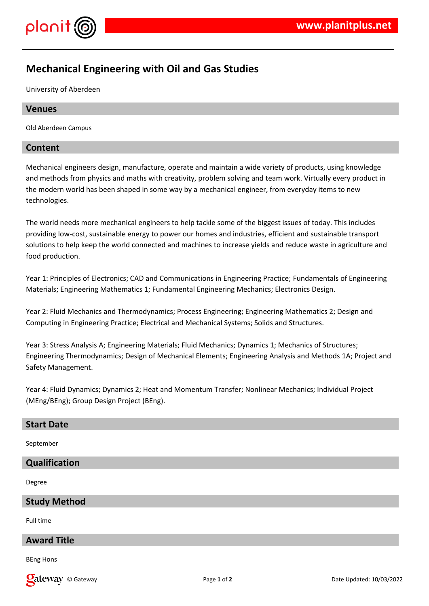

# **Mechanical Engineering with Oil and Gas Studies**

University of Aberdeen

## **Venues**

Old Aberdeen Campus

## **Content**

Mechanical engineers design, manufacture, operate and maintain a wide variety of products, using knowledge and methods from physics and maths with creativity, problem solving and team work. Virtually every product in the modern world has been shaped in some way by a mechanical engineer, from everyday items to new technologies.

The world needs more mechanical engineers to help tackle some of the biggest issues of today. This includes providing low-cost, sustainable energy to power our homes and industries, efficient and sustainable transport solutions to help keep the world connected and machines to increase yields and reduce waste in agriculture and food production.

Year 1: Principles of Electronics; CAD and Communications in Engineering Practice; Fundamentals of Engineering Materials; Engineering Mathematics 1; Fundamental Engineering Mechanics; Electronics Design.

Year 2: Fluid Mechanics and Thermodynamics; Process Engineering; Engineering Mathematics 2; Design and Computing in Engineering Practice; Electrical and Mechanical Systems; Solids and Structures.

Year 3: Stress Analysis A; Engineering Materials; Fluid Mechanics; Dynamics 1; Mechanics of Structures; Engineering Thermodynamics; Design of Mechanical Elements; Engineering Analysis and Methods 1A; Project and Safety Management.

Year 4: Fluid Dynamics; Dynamics 2; Heat and Momentum Transfer; Nonlinear Mechanics; Individual Project (MEng/BEng); Group Design Project (BEng).

#### **Start Date**

September

#### **Qualification**

Degree

#### **Study Method**

Full time

## **Award Title**

BEng Hons